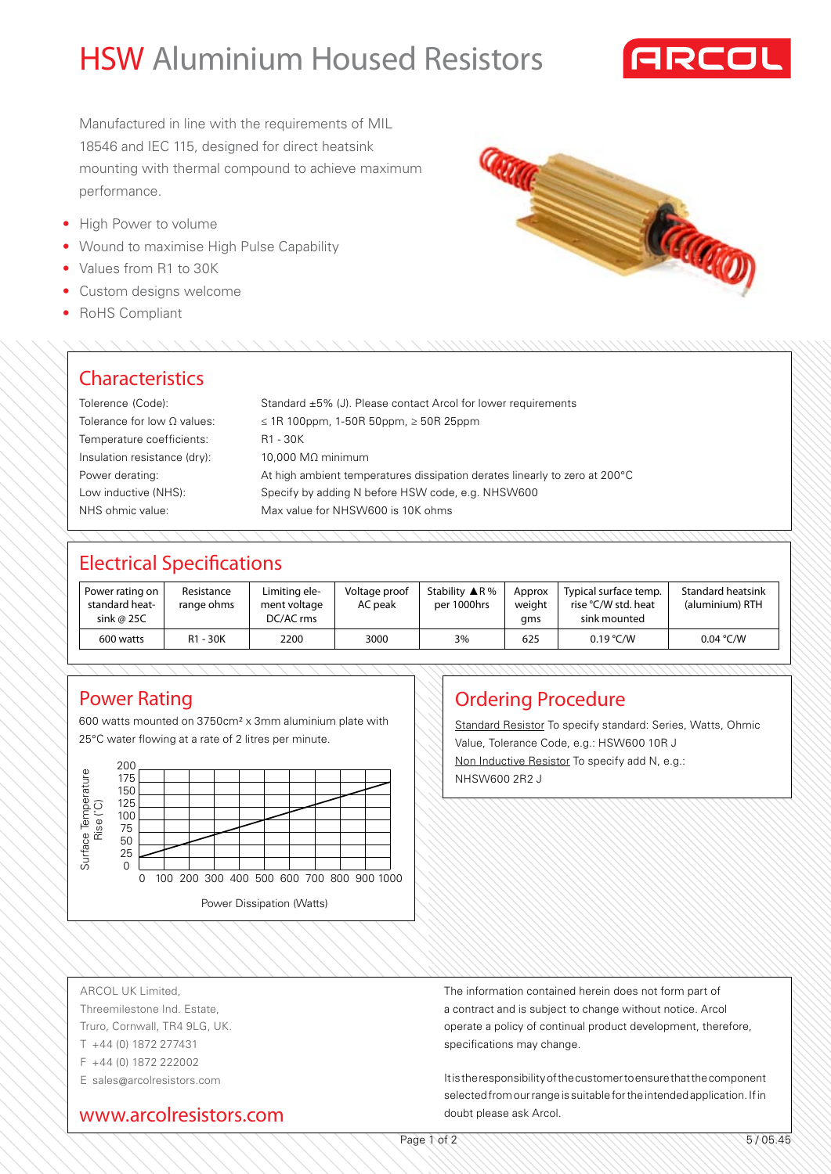# HSW Aluminium Housed Resistors



Manufactured in line with the requirements of MIL 18546 and IEC 115, designed for direct heatsink mounting with thermal compound to achieve maximum performance.

- High Power to volume
- Wound to maximise High Pulse Capability
- Values from R1 to 30K
- Custom designs welcome
- RoHS Compliant



#### **Characteristics**

| Standard $\pm 5\%$ (J). Please contact Arcol for lower requirements         |
|-----------------------------------------------------------------------------|
| ≤ 1R 100ppm, 1-50R 50ppm, $≥$ 50R 25ppm                                     |
| R1 - 30K                                                                    |
| $10.000$ MΩ minimum                                                         |
| At high ambient temperatures dissipation derates linearly to zero at 200 °C |
| Specify by adding N before HSW code, e.g. NHSW600                           |
| Max value for NHSW600 is 10K ohms                                           |
|                                                                             |

## Electrical Specifications

| Power rating on<br>standard heat-<br>sink @ 25C | Resistance<br>range ohms | Limiting ele-<br>ment voltage<br>DC/AC rms | Voltage proof<br>AC peak | Stability $\triangle$ R%<br>per 1000hrs | Approx<br>weight<br>qms | Typical surface temp.<br>rise °C/W std. heat<br>sink mounted | <b>Standard heatsink</b><br>(aluminium) RTH |
|-------------------------------------------------|--------------------------|--------------------------------------------|--------------------------|-----------------------------------------|-------------------------|--------------------------------------------------------------|---------------------------------------------|
| 600 watts                                       | R1 - 30K                 | 2200                                       | 3000                     | 3%                                      | 625                     | 0.19 °C/W                                                    | 0.04 °C/W                                   |

#### Power Rating

600 watts mounted on 3750cm² x 3mm aluminium plate with 25°C water flowing at a rate of 2 litres per minute.



## Ordering Procedure

Standard Resistor To specify standard: Series, Watts, Ohmic Value, Tolerance Code, e.g.: HSW600 10R J Non Inductive Resistor To specify add N, e.g.: NHSW600 2R2 J

ARCOL UK Limited, Threemilestone Ind. Estate, Truro, Cornwall, TR4 9LG, UK. T +44 (0) 1872 277431 F +44 (0) 1872 222002 E sales@arcolresistors.com

www.arcolresistors.com

The information contained herein does not form part of a contract and is subject to change without notice. Arcol operate a policy of continual product development, therefore, specifications may change.

It is the responsibility of the customer to ensure that the component selected from our range is suitable for the intended application. If in doubt please ask Arcol.